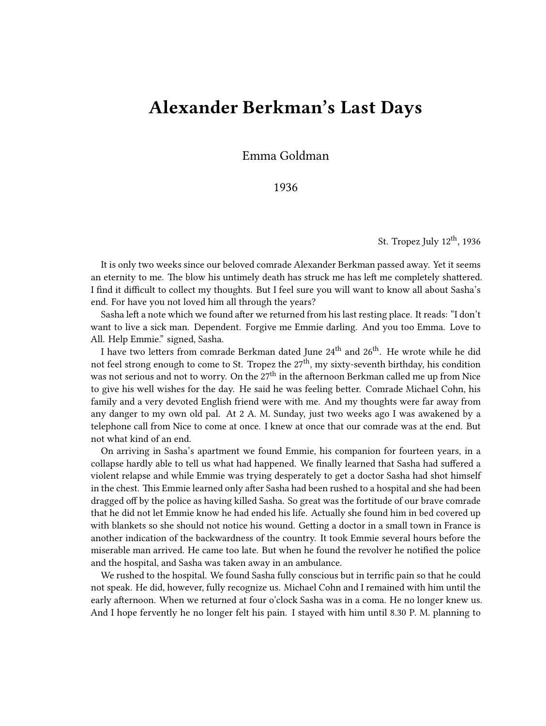## **Alexander Berkman's Last Days**

Emma Goldman

1936

St. Tropez July  $12<sup>th</sup>$ , 1936

It is only two weeks since our beloved comrade Alexander Berkman passed away. Yet it seems an eternity to me. The blow his untimely death has struck me has left me completely shattered. I find it difficult to collect my thoughts. But I feel sure you will want to know all about Sasha's end. For have you not loved him all through the years?

Sasha left a note which we found after we returned from his last resting place. It reads: "I don't want to live a sick man. Dependent. Forgive me Emmie darling. And you too Emma. Love to All. Help Emmie." signed, Sasha.

I have two letters from comrade Berkman dated June 24<sup>th</sup> and 26<sup>th</sup>. He wrote while he did not feel strong enough to come to St. Tropez the  $27<sup>th</sup>$ , my sixty-seventh birthday, his condition was not serious and not to worry. On the  $27<sup>th</sup>$  in the afternoon Berkman called me up from Nice to give his well wishes for the day. He said he was feeling better. Comrade Michael Cohn, his family and a very devoted English friend were with me. And my thoughts were far away from any danger to my own old pal. At 2 A. M. Sunday, just two weeks ago I was awakened by a telephone call from Nice to come at once. I knew at once that our comrade was at the end. But not what kind of an end.

On arriving in Sasha's apartment we found Emmie, his companion for fourteen years, in a collapse hardly able to tell us what had happened. We finally learned that Sasha had suffered a violent relapse and while Emmie was trying desperately to get a doctor Sasha had shot himself in the chest. This Emmie learned only after Sasha had been rushed to a hospital and she had been dragged off by the police as having killed Sasha. So great was the fortitude of our brave comrade that he did not let Emmie know he had ended his life. Actually she found him in bed covered up with blankets so she should not notice his wound. Getting a doctor in a small town in France is another indication of the backwardness of the country. It took Emmie several hours before the miserable man arrived. He came too late. But when he found the revolver he notified the police and the hospital, and Sasha was taken away in an ambulance.

We rushed to the hospital. We found Sasha fully conscious but in terrific pain so that he could not speak. He did, however, fully recognize us. Michael Cohn and I remained with him until the early afternoon. When we returned at four o'clock Sasha was in a coma. He no longer knew us. And I hope fervently he no longer felt his pain. I stayed with him until 8.30 P. M. planning to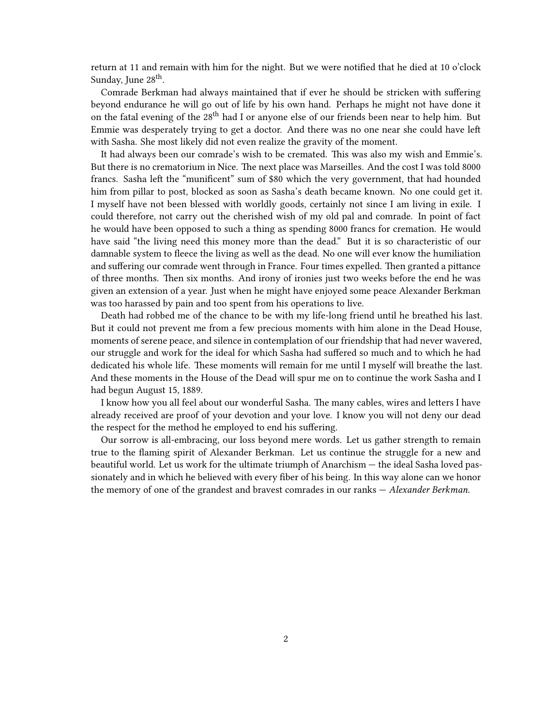return at 11 and remain with him for the night. But we were notified that he died at 10 o'clock Sunday, June 28<sup>th</sup>.

Comrade Berkman had always maintained that if ever he should be stricken with suffering beyond endurance he will go out of life by his own hand. Perhaps he might not have done it on the fatal evening of the 28<sup>th</sup> had I or anyone else of our friends been near to help him. But Emmie was desperately trying to get a doctor. And there was no one near she could have left with Sasha. She most likely did not even realize the gravity of the moment.

It had always been our comrade's wish to be cremated. This was also my wish and Emmie's. But there is no crematorium in Nice. The next place was Marseilles. And the cost I was told 8000 francs. Sasha left the "munificent" sum of \$80 which the very government, that had hounded him from pillar to post, blocked as soon as Sasha's death became known. No one could get it. I myself have not been blessed with worldly goods, certainly not since I am living in exile. I could therefore, not carry out the cherished wish of my old pal and comrade. In point of fact he would have been opposed to such a thing as spending 8000 francs for cremation. He would have said "the living need this money more than the dead." But it is so characteristic of our damnable system to fleece the living as well as the dead. No one will ever know the humiliation and suffering our comrade went through in France. Four times expelled. Then granted a pittance of three months. Then six months. And irony of ironies just two weeks before the end he was given an extension of a year. Just when he might have enjoyed some peace Alexander Berkman was too harassed by pain and too spent from his operations to live.

Death had robbed me of the chance to be with my life-long friend until he breathed his last. But it could not prevent me from a few precious moments with him alone in the Dead House, moments of serene peace, and silence in contemplation of our friendship that had never wavered, our struggle and work for the ideal for which Sasha had suffered so much and to which he had dedicated his whole life. These moments will remain for me until I myself will breathe the last. And these moments in the House of the Dead will spur me on to continue the work Sasha and I had begun August 15, 1889.

I know how you all feel about our wonderful Sasha. The many cables, wires and letters I have already received are proof of your devotion and your love. I know you will not deny our dead the respect for the method he employed to end his suffering.

Our sorrow is all-embracing, our loss beyond mere words. Let us gather strength to remain true to the flaming spirit of Alexander Berkman. Let us continue the struggle for a new and beautiful world. Let us work for the ultimate triumph of Anarchism — the ideal Sasha loved passionately and in which he believed with every fiber of his being. In this way alone can we honor the memory of one of the grandest and bravest comrades in our ranks — *Alexander Berkman*.